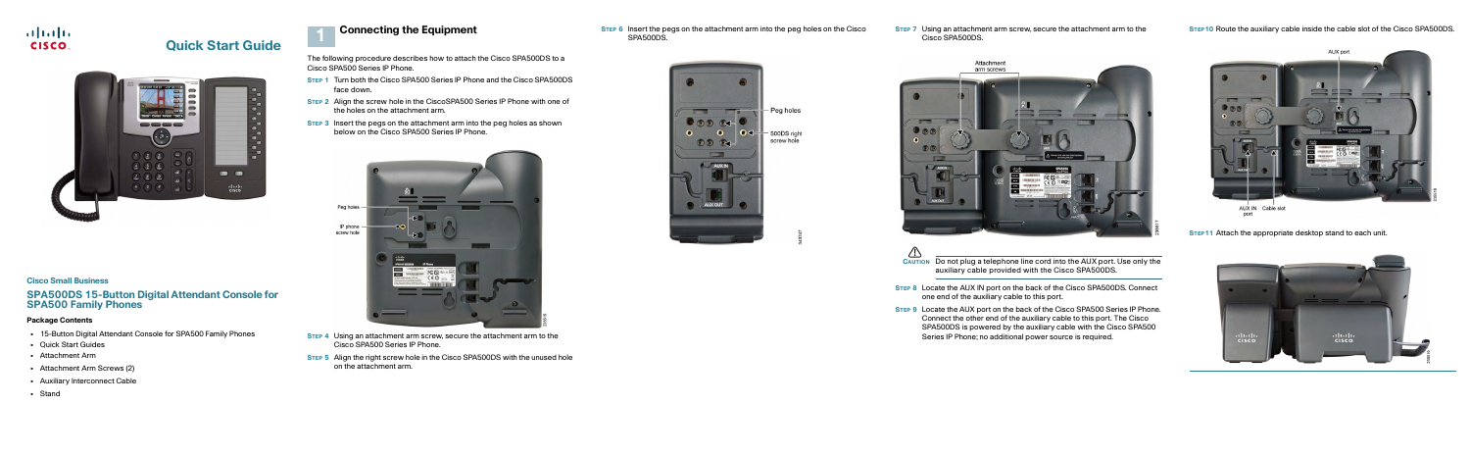

# **Quick Start Guide**



### **Cisco Small Business**

# **SPA500DS 15-Button Digital Attendant Console for SPA500 Family Phones**

### **Package Contents**

# <span id="page-0-0"></span>**Connecting the Equipment 1 1 Connecting the Equipment 1 1 1 STEP 6** Insert the pegs on the attachment arm into the peg holes on the Cisco<br>SPA500DS.

- **•** 15-Button Digital Attendant Console for SPA500 Family Phones
- **•** Quick Start Guides
- **•** Attachment Arm
- **•** Attachment Arm Screws (2)
- **•** Auxiliary Interconnect Cable
- **•** Stand

The following procedure describes how to attach the Cisco SPA500DS to a Cisco SPA500 Series IP Phone.

- **STEP 1** Turn both the Cisco SPA500 Series IP Phone and the Cisco SPA500DS face down.
- **STEP 2** Align the screw hole in the CiscoSPA500 Series IP Phone with one of the holes on the attachment arm.
- **STEP 3** Insert the pegs on the attachment arm into the peg holes as shown below on the Cisco SPA500 Series IP Phone.



- **CAUTION**<br>**CAUTION** Do not plug a telephone line cord into the AUX port. Use only the auxiliary cable provided with the Cisco SPA500DS.
- **STEP 8** Locate the AUX IN port on the back of the Cisco SPA500DS. Connect one end of the auxiliary cable to this port.
- **STEP 9** Locate the AUX port on the back of the Cisco SPA500 Series IP Phone. Connect the other end of the auxiliary cable to this port. The Cisco SPA500DS is powered by the auxiliary cable with the Cisco SPA500 Series IP Phone; no additional power source is required.



AUX IN Cable slot

- **STEP 4** Using an attachment arm screw, secure the attachment arm to the Cisco SPA500 Series IP Phone.
- **STEP 5** Align the right screw hole in the Cisco SPA500DS with the unused hole on the attachment arm.

#### **STEP 7** Using an attachment arm screw, secure the attachment arm to the Cisco SPA500DS.



Attachment arm screws **ISS**  $\qquad \qquad$ AUXIN

**STEP11** Attach the appropriate desktop stand to each unit.